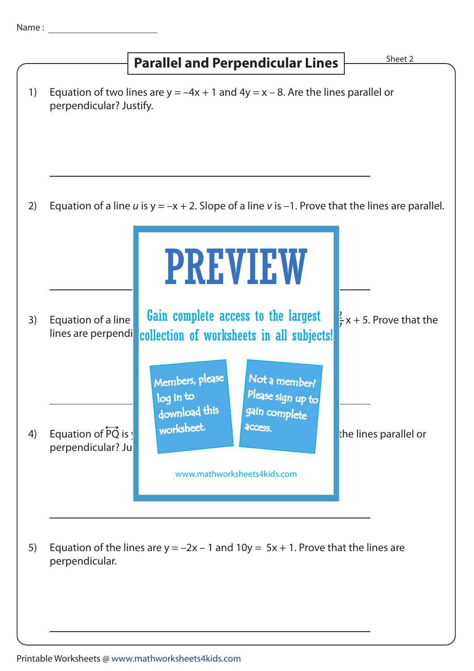